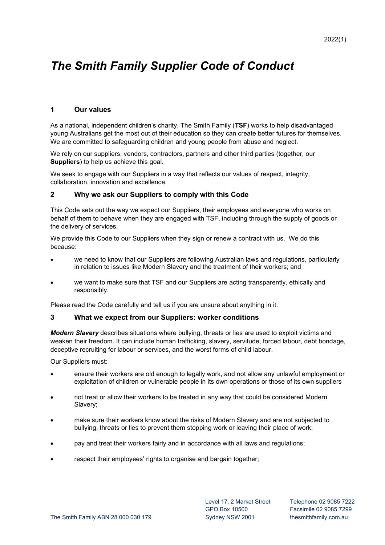# *The Smith Family Supplier Code of Conduct*

# **1 Our values**

As a national, independent children's charity, The Smith Family (**TSF**) works to help disadvantaged young Australians get the most out of their education so they can create better futures for themselves. We are committed to safeguarding children and young people from abuse and neglect.

We rely on our suppliers, vendors, contractors, partners and other third parties (together, our **Suppliers**) to help us achieve this goal.

We seek to engage with our Suppliers in a way that reflects our values of respect, integrity, collaboration, innovation and excellence.

## **2 Why we ask our Suppliers to comply with this Code**

This Code sets out the way we expect our Suppliers, their employees and everyone who works on behalf of them to behave when they are engaged with TSF, including through the supply of goods or the delivery of services.

We provide this Code to our Suppliers when they sign or renew a contract with us. We do this because:

- we need to know that our Suppliers are following Australian laws and regulations, particularly in relation to issues like Modern Slavery and the treatment of their workers; and
- we want to make sure that TSF and our Suppliers are acting transparently, ethically and responsibly.

Please read the Code carefully and tell us if you are unsure about anything in it.

#### **3 What we expect from our Suppliers: worker conditions**

*Modern Slavery* describes situations where bullying, threats or lies are used to exploit victims and weaken their freedom. It can include human trafficking, slavery, servitude, forced labour, debt bondage, deceptive recruiting for labour or services, and the worst forms of child labour.

Our Suppliers must:

- ensure their workers are old enough to legally work, and not allow any unlawful employment or exploitation of children or vulnerable people in its own operations or those of its own suppliers
- not treat or allow their workers to be treated in any way that could be considered Modern Slavery;
- make sure their workers know about the risks of Modern Slavery and are not subjected to bullying, threats or lies to prevent them stopping work or leaving their place of work;
- pay and treat their workers fairly and in accordance with all laws and regulations;
- respect their employees' rights to organise and bargain together;